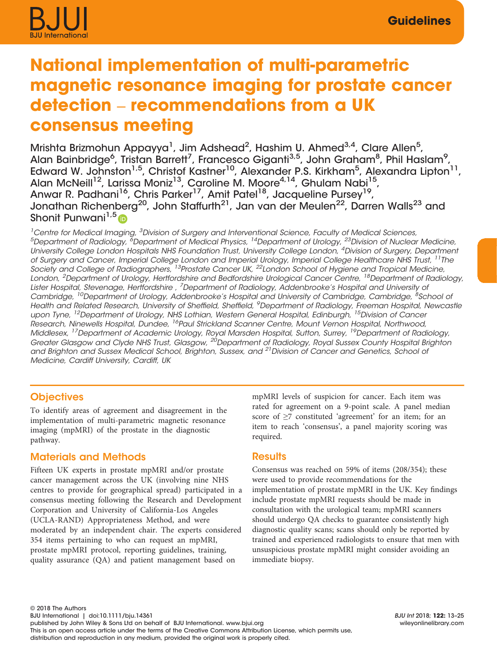# National implementation of multi-parametric magnetic resonance imaging for prostate cancer detection – recommendations from a UK consensus meeting

Mrishta Brizmohun Appayya<sup>1</sup>, Jim Adshead<sup>2</sup>, Hashim U. Ahmed<sup>3,4</sup>, Clare Allen<sup>5</sup>, Alan Bainbridge<sup>6</sup>, Tristan Barrett<sup>7</sup>, Francesco Giganti<sup>3,5</sup>, John Graham<sup>8</sup>, Phil Haslam<sup>9</sup>, Edward W. Johnston<sup>1,5</sup>, Christof Kastner<sup>10</sup>, Alexander P.S. Kirkham<sup>5</sup>, Alexandra Lipton<sup>11</sup>, Alan McNeill<sup>12</sup>, Larissa Moniz<sup>13</sup>, Caroline M. Moore<sup>4,14</sup>, Ghulam Nabi<sup>15</sup>, Anwar R. Padhani<sup>16</sup>, Chris Parker<sup>17</sup>, Amit Patel<sup>18</sup>, Jacqueline Pursey<sup>19</sup>, Jonathan Richenberg<sup>20</sup>, John Staffurth<sup>21</sup>, Jan van der Meulen<sup>22</sup>, Darren Walls<sup>23</sup> and Shonit Punwani<sup>1,5</sup>

<sup>1</sup> Centre for Medical Imaging, <sup>3</sup> Division of Surgery and Interventional Science, Faculty of Medical Sciences,  $^5$ Department of Radiology,  $^{\delta}$ Department of Medical Physics,  $^{14}$ Department of Urology,  $^{23}$ Division of Nuclear Medicine, University College London Hospitals NHS Foundation Trust, University College London, <sup>4</sup>Division of Surgery, Department of Surgery and Cancer, Imperial College London and Imperial Urology, Imperial College Healthcare NHS Trust, 11The Society and College of Radiographers, 13Prostate Cancer UK, 22London School of Hygiene and Tropical Medicine, London, <sup>2</sup>Department of Urology, Hertfordshire and Bedfordshire Urological Cancer Centre, <sup>18</sup>Department of Radiology, Lister Hospital, Stevenage, Hertfordshire , <sup>7</sup>Department of Radiology, Addenbrooke's Hospital and University oi Cambridge, <sup>10</sup>Department of Urology, Addenbrooke's Hospital and University of Cambridge, Cambridge, <sup>8</sup>School oi Health and Related Research, University of Sheffield, Sheffield, <sup>9</sup>Department of Radiology, Freeman Hospital, Newcastle upon Tyne, <sup>12</sup>Department of Urology, NHS Lothian, Western General Hospital, Edinburgh, <sup>15</sup>Division of Cancer Research, Ninewells Hospital, Dundee, <sup>16</sup>Paul Strickland Scanner Centre, Mount Vernon Hospital, Northwood, Middlesex, <sup>17</sup>Department of Academic Urology, Royal Marsden Hospital, Sutton, Surrey, <sup>19</sup>Department of Radiology, Greater Glasgow and Clyde NHS Trust, Glasgow, <sup>20</sup>Department of Radiology, Royal Sussex County Hospital Brighton and Brighton and Sussex Medical School, Brighton, Sussex, and <sup>21</sup> Division of Cancer and Genetics, School of Medicine, Cardiff University, Cardiff, UK

## **Objectives**

To identify areas of agreement and disagreement in the implementation of multi-parametric magnetic resonance imaging (mpMRI) of the prostate in the diagnostic pathway.

# Materials and Methods

Fifteen UK experts in prostate mpMRI and/or prostate cancer management across the UK (involving nine NHS centres to provide for geographical spread) participated in a consensus meeting following the Research and Development Corporation and University of California-Los Angeles (UCLA-RAND) Appropriateness Method, and were moderated by an independent chair. The experts considered 354 items pertaining to who can request an mpMRI, prostate mpMRI protocol, reporting guidelines, training, quality assurance (QA) and patient management based on

mpMRI levels of suspicion for cancer. Each item was rated for agreement on a 9-point scale. A panel median score of ≥7 constituted 'agreement' for an item; for an item to reach 'consensus', a panel majority scoring was required.

# **Results**

Consensus was reached on 59% of items (208/354); these were used to provide recommendations for the implementation of prostate mpMRI in the UK. Key findings include prostate mpMRI requests should be made in consultation with the urological team; mpMRI scanners should undergo QA checks to guarantee consistently high diagnostic quality scans; scans should only be reported by trained and experienced radiologists to ensure that men with unsuspicious prostate mpMRI might consider avoiding an immediate biopsy.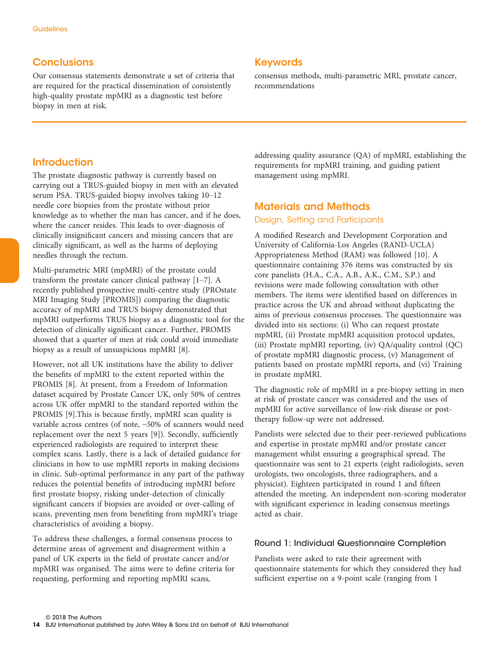# **Conclusions**

Our consensus statements demonstrate a set of criteria that are required for the practical dissemination of consistently high-quality prostate mpMRI as a diagnostic test before biopsy in men at risk.

## Keywords

consensus methods, multi-parametric MRI, prostate cancer, recommendations

# **Introduction**

The prostate diagnostic pathway is currently based on carrying out a TRUS-guided biopsy in men with an elevated serum PSA. TRUS-guided biopsy involves taking 10–12 needle core biopsies from the prostate without prior knowledge as to whether the man has cancer, and if he does, where the cancer resides. This leads to over-diagnosis of clinically insignificant cancers and missing cancers that are clinically significant, as well as the harms of deploying needles through the rectum.

Multi-parametric MRI (mpMRI) of the prostate could transform the prostate cancer clinical pathway [1–7]. A recently published prospective multi-centre study (PROstate MRI Imaging Study [PROMIS]) comparing the diagnostic accuracy of mpMRI and TRUS biopsy demonstrated that mpMRI outperforms TRUS biopsy as a diagnostic tool for the detection of clinically significant cancer. Further, PROMIS showed that a quarter of men at risk could avoid immediate biopsy as a result of unsuspicious mpMRI [8].

However, not all UK institutions have the ability to deliver the benefits of mpMRI to the extent reported within the PROMIS [8]. At present, from a Freedom of Information dataset acquired by Prostate Cancer UK, only 50% of centres across UK offer mpMRI to the standard reported within the PROMIS [9].This is because firstly, mpMRI scan quality is variable across centres (of note, ~50% of scanners would need replacement over the next 5 years [9]). Secondly, sufficiently experienced radiologists are required to interpret these complex scans. Lastly, there is a lack of detailed guidance for clinicians in how to use mpMRI reports in making decisions in clinic. Sub-optimal performance in any part of the pathway reduces the potential benefits of introducing mpMRI before first prostate biopsy, risking under-detection of clinically significant cancers if biopsies are avoided or over-calling of scans, preventing men from benefiting from mpMRI's triage characteristics of avoiding a biopsy.

To address these challenges, a formal consensus process to determine areas of agreement and disagreement within a panel of UK experts in the field of prostate cancer and/or mpMRI was organised. The aims were to define criteria for requesting, performing and reporting mpMRI scans,

addressing quality assurance (QA) of mpMRI, establishing the requirements for mpMRI training, and guiding patient management using mpMRI.

# Materials and Methods

## Design, Setting and Participants

A modified Research and Development Corporation and University of California-Los Angeles (RAND-UCLA) Appropriateness Method (RAM) was followed [10]. A questionnaire containing 376 items was constructed by six core panelists (H.A., C.A., A.B., A.K., C.M., S.P.) and revisions were made following consultation with other members. The items were identified based on differences in practice across the UK and abroad without duplicating the aims of previous consensus processes. The questionnaire was divided into six sections: (i) Who can request prostate mpMRI, (ii) Prostate mpMRI acquisition protocol updates, (iii) Prostate mpMRI reporting, (iv) QA/quality control (QC) of prostate mpMRI diagnostic process, (v) Management of patients based on prostate mpMRI reports, and (vi) Training in prostate mpMRI.

The diagnostic role of mpMRI in a pre-biopsy setting in men at risk of prostate cancer was considered and the uses of mpMRI for active surveillance of low-risk disease or posttherapy follow-up were not addressed.

Panelists were selected due to their peer-reviewed publications and expertise in prostate mpMRI and/or prostate cancer management whilst ensuring a geographical spread. The questionnaire was sent to 21 experts (eight radiologists, seven urologists, two oncologists, three radiographers, and a physicist). Eighteen participated in round 1 and fifteen attended the meeting. An independent non-scoring moderator with significant experience in leading consensus meetings acted as chair.

## Round 1: Individual Questionnaire Completion

Panelists were asked to rate their agreement with questionnaire statements for which they considered they had sufficient expertise on a 9-point scale (ranging from 1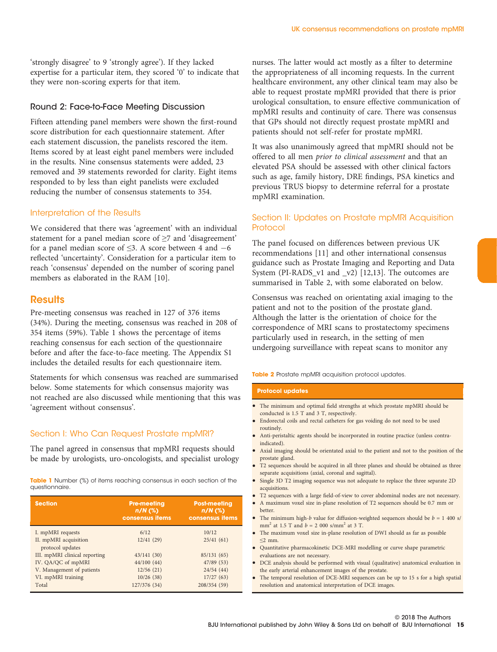'strongly disagree' to 9 'strongly agree'). If they lacked expertise for a particular item, they scored '0' to indicate that they were non-scoring experts for that item.

#### Round 2: Face-to-Face Meeting Discussion

Fifteen attending panel members were shown the first-round score distribution for each questionnaire statement. After each statement discussion, the panelists rescored the item. Items scored by at least eight panel members were included in the results. Nine consensus statements were added, 23 removed and 39 statements reworded for clarity. Eight items responded to by less than eight panelists were excluded reducing the number of consensus statements to 354.

## Interpretation of the Results

We considered that there was 'agreement' with an individual statement for a panel median score of ≥7 and 'disagreement' for a panel median score of  $\leq$ 3. A score between 4 and  $-6$ reflected 'uncertainty'. Consideration for a particular item to reach 'consensus' depended on the number of scoring panel members as elaborated in the RAM [10].

## **Results**

Pre-meeting consensus was reached in 127 of 376 items (34%). During the meeting, consensus was reached in 208 of 354 items (59%). Table 1 shows the percentage of items reaching consensus for each section of the questionnaire before and after the face-to-face meeting. The Appendix S1 includes the detailed results for each questionnaire item.

Statements for which consensus was reached are summarised below. Some statements for which consensus majority was not reached are also discussed while mentioning that this was 'agreement without consensus'.

## Section I: Who Can Request Prostate mpMRI?

The panel agreed in consensus that mpMRI requests should be made by urologists, uro-oncologists, and specialist urology

Table 1 Number (%) of items reaching consensus in each section of the questionnaire.

| <b>Section</b>                | <b>Pre-meeting</b><br>$n/N$ (%)<br>consensus items | <b>Post-meeting</b><br>$n/N$ (%)<br>consensus items |
|-------------------------------|----------------------------------------------------|-----------------------------------------------------|
| I. mpMRI requests             | 6/12                                               | 10/12                                               |
| II. mpMRI acquisition         | 12/41(29)                                          | 25/41(61)                                           |
| protocol updates              |                                                    |                                                     |
| III. mpMRI clinical reporting | 43/141(30)                                         | 85/131 (65)                                         |
| IV. QA/QC of mpMRI            | 44/100 (44)                                        | 47/89(53)                                           |
| V. Management of patients     | 12/56(21)                                          | 24/54(44)                                           |
| VI. mpMRI training            | 10/26(38)                                          | 17/27(63)                                           |
| Total                         | 127/376 (34)                                       | 208/354 (59)                                        |

nurses. The latter would act mostly as a filter to determine the appropriateness of all incoming requests. In the current healthcare environment, any other clinical team may also be able to request prostate mpMRI provided that there is prior urological consultation, to ensure effective communication of mpMRI results and continuity of care. There was consensus that GPs should not directly request prostate mpMRI and patients should not self-refer for prostate mpMRI.

It was also unanimously agreed that mpMRI should not be offered to all men prior to clinical assessment and that an elevated PSA should be assessed with other clinical factors such as age, family history, DRE findings, PSA kinetics and previous TRUS biopsy to determine referral for a prostate mpMRI examination.

## Section II: Updates on Prostate mpMRI Acquisition **Protocol**

The panel focused on differences between previous UK recommendations [11] and other international consensus guidance such as Prostate Imaging and Reporting and Data System (PI-RADS v1 and v2) [12,13]. The outcomes are summarised in Table 2, with some elaborated on below.

Consensus was reached on orientating axial imaging to the patient and not to the position of the prostate gland. Although the latter is the orientation of choice for the correspondence of MRI scans to prostatectomy specimens particularly used in research, in the setting of men undergoing surveillance with repeat scans to monitor any

Table 2 Prostate mpMRI acquisition protocol updates.

#### Protocol updates

- The minimum and optimal field strengths at which prostate mpMRI should be conducted is 1.5 T and 3 T, respectively.
- Endorectal coils and rectal catheters for gas voiding do not need to be used routinely.
- Anti-peristaltic agents should be incorporated in routine practice (unless contraindicated).
- Axial imaging should be orientated axial to the patient and not to the position of the prostate gland.
- T2 sequences should be acquired in all three planes and should be obtained as three separate acquisitions (axial, coronal and sagittal).
- Single 3D T2 imaging sequence was not adequate to replace the three separate 2D acquisitions.
- T2 sequences with a large field-of-view to cover abdominal nodes are not necessary.
- A maximum voxel size in-plane resolution of T2 sequences should be 0.7 mm or better.
- The minimum high-b value for diffusion-weighted sequences should be  $b = 1,400$  s/ mm<sup>2</sup> at 1.5 T and  $b = 2000$  s/mm<sup>2</sup> at 3 T.
- The maximum voxel size in-plane resolution of DWI should as far as possible ≤2 mm.
- Quantitative pharmacokinetic DCE-MRI modelling or curve shape parametric evaluations are not necessary.
- DCE analysis should be performed with visual (qualitative) anatomical evaluation in the early arterial enhancement images of the prostate.
- The temporal resolution of DCE-MRI sequences can be up to 15 s for a high spatial resolution and anatomical interpretation of DCE images.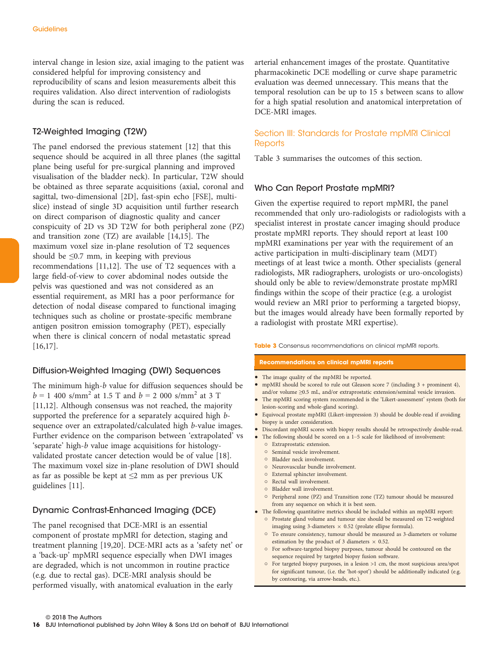interval change in lesion size, axial imaging to the patient was considered helpful for improving consistency and reproducibility of scans and lesion measurements albeit this requires validation. Also direct intervention of radiologists during the scan is reduced.

## T2-Weighted Imaging (T2W)

The panel endorsed the previous statement [12] that this sequence should be acquired in all three planes (the sagittal plane being useful for pre-surgical planning and improved visualisation of the bladder neck). In particular, T2W should be obtained as three separate acquisitions (axial, coronal and sagittal, two-dimensional [2D], fast-spin echo [FSE], multislice) instead of single 3D acquisition until further research on direct comparison of diagnostic quality and cancer conspicuity of 2D vs 3D T2W for both peripheral zone (PZ) and transition zone (TZ) are available [14,15]. The maximum voxel size in-plane resolution of T2 sequences should be  $\leq 0.7$  mm, in keeping with previous recommendations [11,12]. The use of T2 sequences with a large field-of-view to cover abdominal nodes outside the pelvis was questioned and was not considered as an essential requirement, as MRI has a poor performance for detection of nodal disease compared to functional imaging techniques such as choline or prostate-specific membrane antigen positron emission tomography (PET), especially when there is clinical concern of nodal metastatic spread [16,17].

## Diffusion-Weighted Imaging (DWI) Sequences

The minimum high-b value for diffusion sequences should be  $b = 1,400$  s/mm<sup>2</sup> at 1.5 T and  $b = 2,000$  s/mm<sup>2</sup> at 3 T [11,12]. Although consensus was not reached, the majority supported the preference for a separately acquired high bsequence over an extrapolated/calculated high b-value images. Further evidence on the comparison between 'extrapolated' vs 'separate' high-b value image acquisitions for histologyvalidated prostate cancer detection would be of value [18]. The maximum voxel size in-plane resolution of DWI should as far as possible be kept at ≤2 mm as per previous UK guidelines [11].

## Dynamic Contrast-Enhanced Imaging (DCE)

The panel recognised that DCE-MRI is an essential component of prostate mpMRI for detection, staging and treatment planning [19,20]. DCE-MRI acts as a 'safety net' or a 'back-up' mpMRI sequence especially when DWI images are degraded, which is not uncommon in routine practice (e.g. due to rectal gas). DCE-MRI analysis should be performed visually, with anatomical evaluation in the early

arterial enhancement images of the prostate. Quantitative pharmacokinetic DCE modelling or curve shape parametric evaluation was deemed unnecessary. This means that the temporal resolution can be up to 15 s between scans to allow for a high spatial resolution and anatomical interpretation of DCE-MRI images.

## Section III: Standards for Prostate mpMRI Clinical **Reports**

Table 3 summarises the outcomes of this section.

#### Who Can Report Prostate mpMRI?

Given the expertise required to report mpMRI, the panel recommended that only uro-radiologists or radiologists with a specialist interest in prostate cancer imaging should produce prostate mpMRI reports. They should report at least 100 mpMRI examinations per year with the requirement of an active participation in multi-disciplinary team (MDT) meetings of at least twice a month. Other specialists (general radiologists, MR radiographers, urologists or uro-oncologists) should only be able to review/demonstrate prostate mpMRI findings within the scope of their practice (e.g. a urologist would review an MRI prior to performing a targeted biopsy, but the images would already have been formally reported by a radiologist with prostate MRI expertise).

Table 3 Consensus recommendations on clinical mpMRI reports.

#### Recommendations on clinical mpMRI reports

- The image quality of the mpMRI be reported.
- mpMRI should be scored to rule out Gleason score 7 (including 3 + prominent 4), and/or volume ≥0.5 mL, and/or extraprostatic extension/seminal vesicle invasion.
- The mpMRI scoring system recommended is the 'Likert-assessment' system (both for lesion-scoring and whole-gland scoring).
- Equivocal prostate mpMRI (Likert-impression 3) should be double-read if avoiding biopsy is under consideration.
- Discordant mpMRI scores with biopsy results should be retrospectively double-read.
- The following should be scored on a 1-5 scale for likelihood of involvement:
	- Extraprostatic extension.
	- o Seminal vesicle involvement.
	- Bladder neck involvement.
	- Neurovascular bundle involvement. External sphincter involvement.
	- Rectal wall involvement.
	- Bladder wall involvement.
	- Peripheral zone (PZ) and Transition zone (TZ) tumour should be measured from any sequence on which it is best seen.
- The following quantitative metrics should be included within an mpMRI report:
	- Prostate gland volume and tumour size should be measured on T2-weighted imaging using 3-diameters  $\times$  0.52 (prolate ellipse formula).
	- To ensure consistency, tumour should be measured as 3-diameters or volume estimation by the product of 3 diameters  $\times$  0.52.
	- For software-targeted biopsy purposes, tumour should be contoured on the sequence required by targeted biopsy fusion software.
	- For targeted biopsy purposes, in a lesion >1 cm, the most suspicious area/spot for significant tumour, (i.e. the 'hot-spot') should be additionally indicated (e.g. by contouring, via arrow-heads, etc.).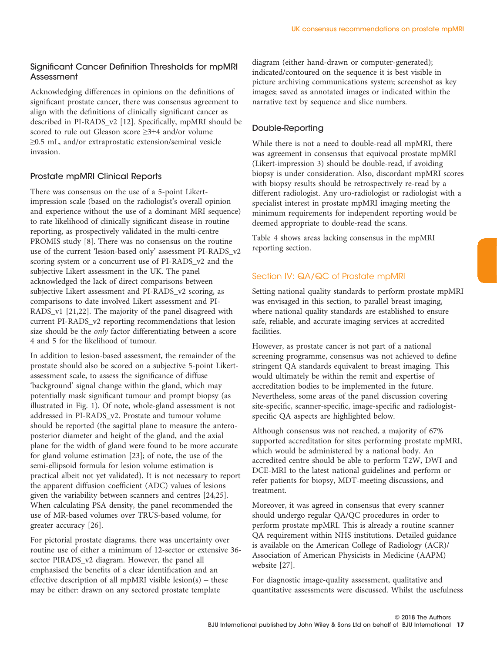## Significant Cancer Definition Thresholds for mpMRI Assessment

Acknowledging differences in opinions on the definitions of significant prostate cancer, there was consensus agreement to align with the definitions of clinically significant cancer as described in PI-RADS\_v2 [12]. Specifically, mpMRI should be scored to rule out Gleason score ≥3+4 and/or volume ≥0.5 mL, and/or extraprostatic extension/seminal vesicle invasion.

## Prostate mpMRI Clinical Reports

There was consensus on the use of a 5-point Likertimpression scale (based on the radiologist's overall opinion and experience without the use of a dominant MRI sequence) to rate likelihood of clinically significant disease in routine reporting, as prospectively validated in the multi-centre PROMIS study [8]. There was no consensus on the routine use of the current 'lesion-based only' assessment PI-RADS\_v2 scoring system or a concurrent use of PI-RADS\_v2 and the subjective Likert assessment in the UK. The panel acknowledged the lack of direct comparisons between subjective Likert assessment and PI-RADS\_v2 scoring, as comparisons to date involved Likert assessment and PI-RADS\_v1 [21,22]. The majority of the panel disagreed with current PI-RADS\_v2 reporting recommendations that lesion size should be the only factor differentiating between a score 4 and 5 for the likelihood of tumour.

In addition to lesion-based assessment, the remainder of the prostate should also be scored on a subjective 5-point Likertassessment scale, to assess the significance of diffuse 'background' signal change within the gland, which may potentially mask significant tumour and prompt biopsy (as illustrated in Fig. 1). Of note, whole-gland assessment is not addressed in PI-RADS\_v2. Prostate and tumour volume should be reported (the sagittal plane to measure the anteroposterior diameter and height of the gland, and the axial plane for the width of gland were found to be more accurate for gland volume estimation [23]; of note, the use of the semi-ellipsoid formula for lesion volume estimation is practical albeit not yet validated). It is not necessary to report the apparent diffusion coefficient (ADC) values of lesions given the variability between scanners and centres [24,25]. When calculating PSA density, the panel recommended the use of MR-based volumes over TRUS-based volume, for greater accuracy [26].

For pictorial prostate diagrams, there was uncertainty over routine use of either a minimum of 12-sector or extensive 36 sector PIRADS\_v2 diagram. However, the panel all emphasised the benefits of a clear identification and an effective description of all mpMRI visible lesion(s) – these may be either: drawn on any sectored prostate template

diagram (either hand-drawn or computer-generated); indicated/contoured on the sequence it is best visible in picture archiving communications system; screenshot as key images; saved as annotated images or indicated within the narrative text by sequence and slice numbers.

# Double-Reporting

While there is not a need to double-read all mpMRI, there was agreement in consensus that equivocal prostate mpMRI (Likert-impression 3) should be double-read, if avoiding biopsy is under consideration. Also, discordant mpMRI scores with biopsy results should be retrospectively re-read by a different radiologist. Any uro-radiologist or radiologist with a specialist interest in prostate mpMRI imaging meeting the minimum requirements for independent reporting would be deemed appropriate to double-read the scans.

Table 4 shows areas lacking consensus in the mpMRI reporting section.

# Section IV: QA/QC of Prostate mpMRI

Setting national quality standards to perform prostate mpMRI was envisaged in this section, to parallel breast imaging, where national quality standards are established to ensure safe, reliable, and accurate imaging services at accredited facilities.

However, as prostate cancer is not part of a national screening programme, consensus was not achieved to define stringent QA standards equivalent to breast imaging. This would ultimately be within the remit and expertise of accreditation bodies to be implemented in the future. Nevertheless, some areas of the panel discussion covering site-specific, scanner-specific, image-specific and radiologistspecific QA aspects are highlighted below.

Although consensus was not reached, a majority of 67% supported accreditation for sites performing prostate mpMRI, which would be administered by a national body. An accredited centre should be able to perform T2W, DWI and DCE-MRI to the latest national guidelines and perform or refer patients for biopsy, MDT-meeting discussions, and treatment.

Moreover, it was agreed in consensus that every scanner should undergo regular QA/QC procedures in order to perform prostate mpMRI. This is already a routine scanner QA requirement within NHS institutions. Detailed guidance is available on the American College of Radiology (ACR)/ Association of American Physicists in Medicine (AAPM) website [27].

For diagnostic image-quality assessment, qualitative and quantitative assessments were discussed. Whilst the usefulness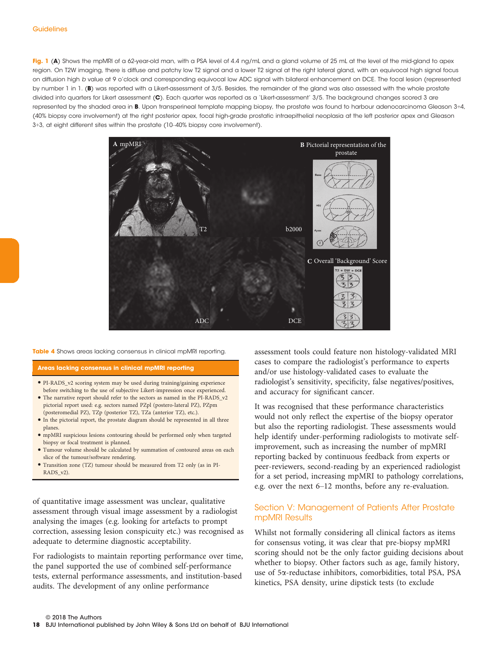Fig. 1 (A) Shows the mpMRI of a 62-year-old man, with a PSA level of 4.4 ng/mL and a gland volume of 25 mL at the level of the mid-gland to apex region. On T2W imaging, there is diffuse and patchy low T2 signal and a lower T2 signal at the right lateral gland, with an equivocal high signal focus on diffusion high b value at 9 o'clock and corresponding equivocal low ADC signal with bilateral enhancement on DCE. The focal lesion (represented by number 1 in 1. (B) was reported with a Likert-assessment of 3/5. Besides, the remainder of the gland was also assessed with the whole prostate divided into quarters for Likert assessment (C). Each quarter was reported as a 'Likert-assessment' 3/5. The background changes scored 3 are represented by the shaded area in **B**. Upon transperineal template mapping biopsy, the prostate was found to harbour adenocarcinoma Gleason 3+4, (40% biopsy core involvement) at the right posterior apex, focal high-grade prostatic intraepithelial neoplasia at the left posterior apex and Gleason 3+3, at eight different sites within the prostate (10–40% biopsy core involvement).



Table 4 Shows areas lacking consensus in clinical mpMRI reporting.

Areas lacking consensus in clinical mpMRI reporting

- PI-RADS\_v2 scoring system may be used during training/gaining experience before switching to the use of subjective Likert-impression once experienced.
- The narrative report should refer to the sectors as named in the PI-RADS\_v2 pictorial report used: e.g. sectors named PZpl (postero-lateral PZ), PZpm (posteromedial PZ), TZp (posterior TZ), TZa (anterior TZ), etc.).
- In the pictorial report, the prostate diagram should be represented in all three planes.
- mpMRI suspicious lesions contouring should be performed only when targeted biopsy or focal treatment is planned.
- Tumour volume should be calculated by summation of contoured areas on each slice of the tumour/software rendering.
- Transition zone (TZ) tumour should be measured from T2 only (as in PI-RADS\_v2).

of quantitative image assessment was unclear, qualitative assessment through visual image assessment by a radiologist analysing the images (e.g. looking for artefacts to prompt correction, assessing lesion conspicuity etc.) was recognised as adequate to determine diagnostic acceptability.

For radiologists to maintain reporting performance over time, the panel supported the use of combined self-performance tests, external performance assessments, and institution-based audits. The development of any online performance

assessment tools could feature non histology-validated MRI cases to compare the radiologist's performance to experts and/or use histology-validated cases to evaluate the radiologist's sensitivity, specificity, false negatives/positives, and accuracy for significant cancer.

It was recognised that these performance characteristics would not only reflect the expertise of the biopsy operator but also the reporting radiologist. These assessments would help identify under-performing radiologists to motivate selfimprovement, such as increasing the number of mpMRI reporting backed by continuous feedback from experts or peer-reviewers, second-reading by an experienced radiologist for a set period, increasing mpMRI to pathology correlations, e.g. over the next 6–12 months, before any re-evaluation.

## Section V: Management of Patients After Prostate mpMRI Results

Whilst not formally considering all clinical factors as items for consensus voting, it was clear that pre-biopsy mpMRI scoring should not be the only factor guiding decisions about whether to biopsy. Other factors such as age, family history, use of 5a-reductase inhibitors, comorbidities, total PSA, PSA kinetics, PSA density, urine dipstick tests (to exclude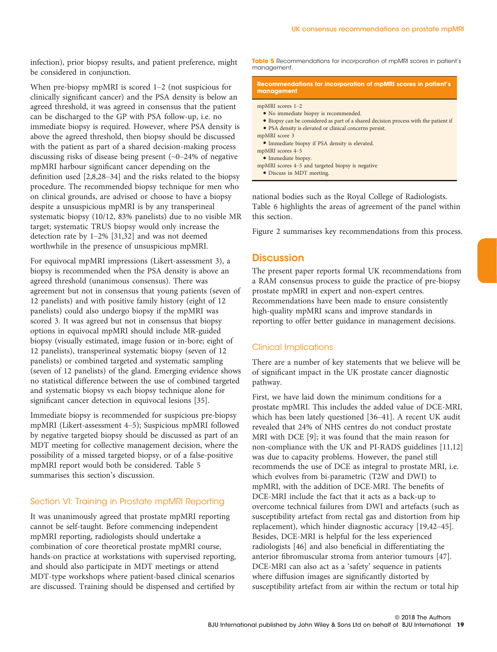infection), prior biopsy results, and patient preference, might be considered in conjunction.

When pre-biopsy mpMRI is scored 1–2 (not suspicious for clinically significant cancer) and the PSA density is below an agreed threshold, it was agreed in consensus that the patient can be discharged to the GP with PSA follow-up, i.e. no immediate biopsy is required. However, where PSA density is above the agreed threshold, then biopsy should be discussed with the patient as part of a shared decision-making process discussing risks of disease being present (~0–24% of negative mpMRI harbour significant cancer depending on the definition used [2,8,28–34] and the risks related to the biopsy procedure. The recommended biopsy technique for men who on clinical grounds, are advised or choose to have a biopsy despite a unsuspicious mpMRI is by any transperineal systematic biopsy (10/12, 83% panelists) due to no visible MR target; systematic TRUS biopsy would only increase the detection rate by 1–2% [31,32] and was not deemed worthwhile in the presence of unsuspicious mpMRI.

For equivocal mpMRI impressions (Likert-assessment 3), a biopsy is recommended when the PSA density is above an agreed threshold (unanimous consensus). There was agreement but not in consensus that young patients (seven of 12 panelists) and with positive family history (eight of 12 panelists) could also undergo biopsy if the mpMRI was scored 3. It was agreed but not in consensus that biopsy options in equivocal mpMRI should include MR-guided biopsy (visually estimated, image fusion or in-bore; eight of 12 panelists), transperineal systematic biopsy (seven of 12 panelists) or combined targeted and systematic sampling (seven of 12 panelists) of the gland. Emerging evidence shows no statistical difference between the use of combined targeted and systematic biopsy vs each biopsy technique alone for significant cancer detection in equivocal lesions [35].

Immediate biopsy is recommended for suspicious pre-biopsy mpMRI (Likert-assessment 4–5); Suspicious mpMRI followed by negative targeted biopsy should be discussed as part of an MDT meeting for collective management decision, where the possibility of a missed targeted biopsy, or of a false-positive mpMRI report would both be considered. Table 5 summarises this section's discussion.

## Section VI: Training in Prostate mpMRI Reporting

It was unanimously agreed that prostate mpMRI reporting cannot be self-taught. Before commencing independent mpMRI reporting, radiologists should undertake a combination of core theoretical prostate mpMRI course, hands-on practice at workstations with supervised reporting, and should also participate in MDT meetings or attend MDT-type workshops where patient-based clinical scenarios are discussed. Training should be dispensed and certified by

Table 5 Recommendations for incorporation of mpMRI scores in patient's management.

#### Recommendations for incorporation of mpMRI scores in patient's management

mpMRI scores 1–2

- No immediate biopsy is recommended.
- Biopsy can be considered as part of a shared decision process with the patient if
- PSA density is elevated or clinical concerns persist. mpMRI score 3
	- Immediate biopsy if PSA density is elevated.
- mpMRI scores 4–5
- Immediate biopsy.
- mpMRI scores 4–5 and targeted biopsy is negative
- Discuss in MDT meeting.

national bodies such as the Royal College of Radiologists. Table 6 highlights the areas of agreement of the panel within this section.

Figure 2 summarises key recommendations from this process.

## **Discussion**

The present paper reports formal UK recommendations from a RAM consensus process to guide the practice of pre-biopsy prostate mpMRI in expert and non-expert centres. Recommendations have been made to ensure consistently high-quality mpMRI scans and improve standards in reporting to offer better guidance in management decisions.

## Clinical Implications

There are a number of key statements that we believe will be of significant impact in the UK prostate cancer diagnostic pathway.

First, we have laid down the minimum conditions for a prostate mpMRI. This includes the added value of DCE-MRI, which has been lately questioned [36–41]. A recent UK audit revealed that 24% of NHS centres do not conduct prostate MRI with DCE [9]; it was found that the main reason for non-compliance with the UK and PI-RADS guidelines [11,12] was due to capacity problems. However, the panel still recommends the use of DCE as integral to prostate MRI, i.e. which evolves from bi-parametric (T2W and DWI) to mpMRI, with the addition of DCE-MRI. The benefits of DCE-MRI include the fact that it acts as a back-up to overcome technical failures from DWI and artefacts (such as susceptibility artefact from rectal gas and distortion from hip replacement), which hinder diagnostic accuracy [19,42–45]. Besides, DCE-MRI is helpful for the less experienced radiologists [46] and also beneficial in differentiating the anterior fibromuscular stroma from anterior tumours [47]. DCE-MRI can also act as a 'safety' sequence in patients where diffusion images are significantly distorted by susceptibility artefact from air within the rectum or total hip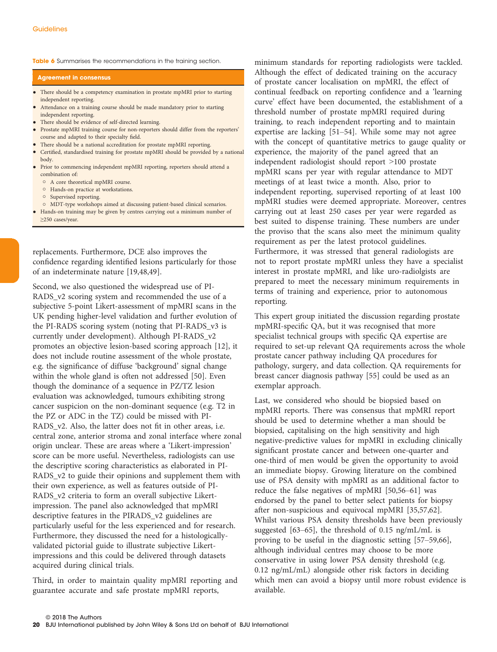Table 6 Summarises the recommendations in the training section.

#### Agreement in consensus

- There should be a competency examination in prostate mpMRI prior to starting independent reporting.
- Attendance on a training course should be made mandatory prior to starting independent reporting.
- There should be evidence of self-directed learning.
- Prostate mpMRI training course for non-reporters should differ from the reporters' course and adapted to their specialty field.
- There should be a national accreditation for prostate mpMRI reporting.
- Certified, standardised training for prostate mpMRI should be provided by a national body.
- Prior to commencing independent mpMRI reporting, reporters should attend a combination of:
	- A core theoretical mpMRI course.
	- Hands-on practice at workstations.
	- o Supervised reporting.
- MDT-type workshops aimed at discussing patient-based clinical scenarios.
- Hands-on training may be given by centres carrying out a minimum number of ≥250 cases/year.

replacements. Furthermore, DCE also improves the confidence regarding identified lesions particularly for those of an indeterminate nature [19,48,49].

Second, we also questioned the widespread use of PI-RADS\_v2 scoring system and recommended the use of a subjective 5-point Likert-assessment of mpMRI scans in the UK pending higher-level validation and further evolution of the PI-RADS scoring system (noting that PI-RADS\_v3 is currently under development). Although PI-RADS\_v2 promotes an objective lesion-based scoring approach [12], it does not include routine assessment of the whole prostate, e.g. the significance of diffuse 'background' signal change within the whole gland is often not addressed [50]. Even though the dominance of a sequence in PZ/TZ lesion evaluation was acknowledged, tumours exhibiting strong cancer suspicion on the non-dominant sequence (e.g. T2 in the PZ or ADC in the TZ) could be missed with PI-RADS v2. Also, the latter does not fit in other areas, i.e. central zone, anterior stroma and zonal interface where zonal origin unclear. These are areas where a 'Likert-impression' score can be more useful. Nevertheless, radiologists can use the descriptive scoring characteristics as elaborated in PI-RADS\_v2 to guide their opinions and supplement them with their own experience, as well as features outside of PI-RADS\_v2 criteria to form an overall subjective Likertimpression. The panel also acknowledged that mpMRI descriptive features in the PIRADS\_v2 guidelines are particularly useful for the less experienced and for research. Furthermore, they discussed the need for a histologicallyvalidated pictorial guide to illustrate subjective Likertimpressions and this could be delivered through datasets acquired during clinical trials.

Third, in order to maintain quality mpMRI reporting and guarantee accurate and safe prostate mpMRI reports,

minimum standards for reporting radiologists were tackled. Although the effect of dedicated training on the accuracy of prostate cancer localisation on mpMRI, the effect of continual feedback on reporting confidence and a 'learning curve' effect have been documented, the establishment of a threshold number of prostate mpMRI required during training, to reach independent reporting and to maintain expertise are lacking [51–54]. While some may not agree with the concept of quantitative metrics to gauge quality or experience, the majority of the panel agreed that an independent radiologist should report >100 prostate mpMRI scans per year with regular attendance to MDT meetings of at least twice a month. Also, prior to independent reporting, supervised reporting of at least 100 mpMRI studies were deemed appropriate. Moreover, centres carrying out at least 250 cases per year were regarded as best suited to dispense training. These numbers are under the proviso that the scans also meet the minimum quality requirement as per the latest protocol guidelines. Furthermore, it was stressed that general radiologists are not to report prostate mpMRI unless they have a specialist interest in prostate mpMRI, and like uro-radiolgists are prepared to meet the necessary minimum requirements in terms of training and experience, prior to autonomous reporting.

This expert group initiated the discussion regarding prostate mpMRI-specific QA, but it was recognised that more specialist technical groups with specific QA expertise are required to set-up relevant QA requirements across the whole prostate cancer pathway including QA procedures for pathology, surgery, and data collection. QA requirements for breast cancer diagnosis pathway [55] could be used as an exemplar approach.

Last, we considered who should be biopsied based on mpMRI reports. There was consensus that mpMRI report should be used to determine whether a man should be biopsied, capitalising on the high sensitivity and high negative-predictive values for mpMRI in excluding clinically significant prostate cancer and between one-quarter and one-third of men would be given the opportunity to avoid an immediate biopsy. Growing literature on the combined use of PSA density with mpMRI as an additional factor to reduce the false negatives of mpMRI [50,56–61] was endorsed by the panel to better select patients for biopsy after non-suspicious and equivocal mpMRI [35,57,62]. Whilst various PSA density thresholds have been previously suggested [63–65], the threshold of 0.15 ng/mL/mL is proving to be useful in the diagnostic setting [57–59,66], although individual centres may choose to be more conservative in using lower PSA density threshold (e.g. 0.12 ng/mL/mL) alongside other risk factors in deciding which men can avoid a biopsy until more robust evidence is available.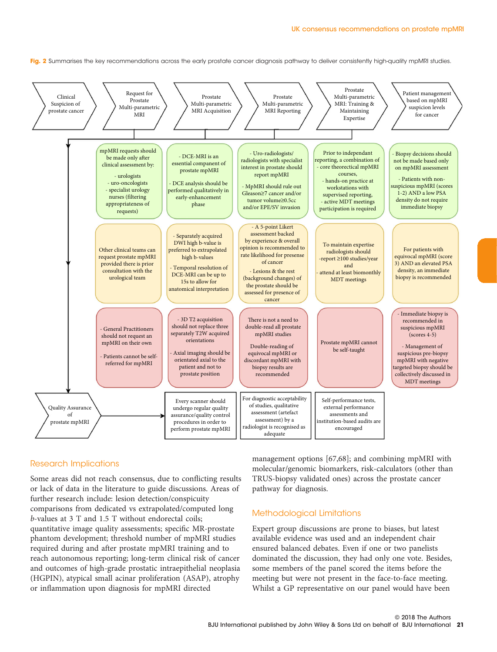Fig. 2 Summarises the key recommendations across the early prostate cancer diagnosis pathway to deliver consistently high-quality mpMRI studies.



#### Research Implications

Some areas did not reach consensus, due to conflicting results or lack of data in the literature to guide discussions. Areas of further research include: lesion detection/conspicuity comparisons from dedicated vs extrapolated/computed long b-values at 3 T and 1.5 T without endorectal coils; quantitative image quality assessments; specific MR-prostate phantom development; threshold number of mpMRI studies required during and after prostate mpMRI training and to reach autonomous reporting; long-term clinical risk of cancer and outcomes of high-grade prostatic intraepithelial neoplasia (HGPIN), atypical small acinar proliferation (ASAP), atrophy or inflammation upon diagnosis for mpMRI directed

management options [67,68]; and combining mpMRI with molecular/genomic biomarkers, risk-calculators (other than TRUS-biopsy validated ones) across the prostate cancer pathway for diagnosis.

#### Methodological Limitations

Expert group discussions are prone to biases, but latest available evidence was used and an independent chair ensured balanced debates. Even if one or two panelists dominated the discussion, they had only one vote. Besides, some members of the panel scored the items before the meeting but were not present in the face-to-face meeting. Whilst a GP representative on our panel would have been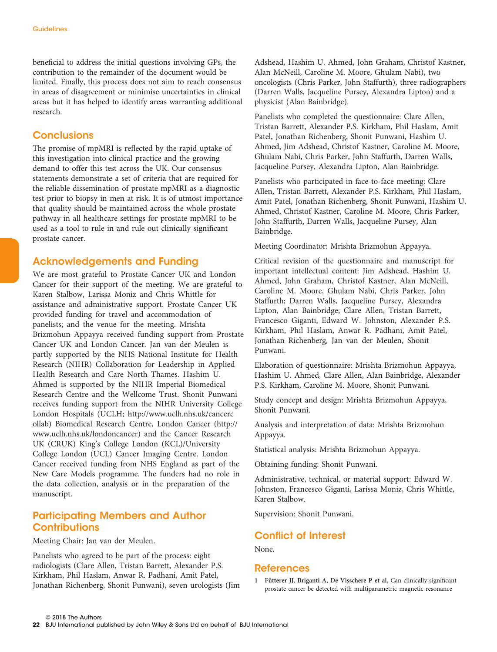beneficial to address the initial questions involving GPs, the contribution to the remainder of the document would be limited. Finally, this process does not aim to reach consensus in areas of disagreement or minimise uncertainties in clinical areas but it has helped to identify areas warranting additional research.

# **Conclusions**

The promise of mpMRI is reflected by the rapid uptake of this investigation into clinical practice and the growing demand to offer this test across the UK. Our consensus statements demonstrate a set of criteria that are required for the reliable dissemination of prostate mpMRI as a diagnostic test prior to biopsy in men at risk. It is of utmost importance that quality should be maintained across the whole prostate pathway in all healthcare settings for prostate mpMRI to be used as a tool to rule in and rule out clinically significant prostate cancer.

# Acknowledgements and Funding

We are most grateful to Prostate Cancer UK and London Cancer for their support of the meeting. We are grateful to Karen Stalbow, Larissa Moniz and Chris Whittle for assistance and administrative support. Prostate Cancer UK provided funding for travel and accommodation of panelists; and the venue for the meeting. Mrishta Brizmohun Appayya received funding support from Prostate Cancer UK and London Cancer. Jan van der Meulen is partly supported by the NHS National Institute for Health Research (NIHR) Collaboration for Leadership in Applied Health Research and Care North Thames. Hashim U. Ahmed is supported by the NIHR Imperial Biomedical Research Centre and the Wellcome Trust. Shonit Punwani receives funding support from the NIHR University College London Hospitals (UCLH; [http://www.uclh.nhs.uk/cancerc](http://www.uclh.nhs.uk/cancercollab) [ollab](http://www.uclh.nhs.uk/cancercollab)) Biomedical Research Centre, London Cancer ([http://](http://www.uclh.nhs.uk/londoncancer) [www.uclh.nhs.uk/londoncancer](http://www.uclh.nhs.uk/londoncancer)) and the Cancer Research UK (CRUK) King's College London (KCL)/University College London (UCL) Cancer Imaging Centre. London Cancer received funding from NHS England as part of the New Care Models programme. The funders had no role in the data collection, analysis or in the preparation of the manuscript.

# Participating Members and Author **Contributions**

#### Meeting Chair: Jan van der Meulen.

Panelists who agreed to be part of the process: eight radiologists (Clare Allen, Tristan Barrett, Alexander P.S. Kirkham, Phil Haslam, Anwar R. Padhani, Amit Patel, Jonathan Richenberg, Shonit Punwani), seven urologists (Jim Adshead, Hashim U. Ahmed, John Graham, Christof Kastner, Alan McNeill, Caroline M. Moore, Ghulam Nabi), two oncologists (Chris Parker, John Staffurth), three radiographers (Darren Walls, Jacqueline Pursey, Alexandra Lipton) and a physicist (Alan Bainbridge).

Panelists who completed the questionnaire: Clare Allen, Tristan Barrett, Alexander P.S. Kirkham, Phil Haslam, Amit Patel, Jonathan Richenberg, Shonit Punwani, Hashim U. Ahmed, Jim Adshead, Christof Kastner, Caroline M. Moore, Ghulam Nabi, Chris Parker, John Staffurth, Darren Walls, Jacqueline Pursey, Alexandra Lipton, Alan Bainbridge.

Panelists who participated in face-to-face meeting: Clare Allen, Tristan Barrett, Alexander P.S. Kirkham, Phil Haslam, Amit Patel, Jonathan Richenberg, Shonit Punwani, Hashim U. Ahmed, Christof Kastner, Caroline M. Moore, Chris Parker, John Staffurth, Darren Walls, Jacqueline Pursey, Alan Bainbridge.

Meeting Coordinator: Mrishta Brizmohun Appayya.

Critical revision of the questionnaire and manuscript for important intellectual content: Jim Adshead, Hashim U. Ahmed, John Graham, Christof Kastner, Alan McNeill, Caroline M. Moore, Ghulam Nabi, Chris Parker, John Staffurth; Darren Walls, Jacqueline Pursey, Alexandra Lipton, Alan Bainbridge; Clare Allen, Tristan Barrett, Francesco Giganti, Edward W. Johnston, Alexander P.S. Kirkham, Phil Haslam, Anwar R. Padhani, Amit Patel, Jonathan Richenberg, Jan van der Meulen, Shonit Punwani.

Elaboration of questionnaire: Mrishta Brizmohun Appayya, Hashim U. Ahmed, Clare Allen, Alan Bainbridge, Alexander P.S. Kirkham, Caroline M. Moore, Shonit Punwani.

Study concept and design: Mrishta Brizmohun Appayya, Shonit Punwani.

Analysis and interpretation of data: Mrishta Brizmohun Appayya.

Statistical analysis: Mrishta Brizmohun Appayya.

Obtaining funding: Shonit Punwani.

Administrative, technical, or material support: Edward W. Johnston, Francesco Giganti, Larissa Moniz, Chris Whittle, Karen Stalbow.

Supervision: Shonit Punwani.

# Conflict of Interest

None.

## References

1 Fütterer JJ, Briganti A, De Visschere P et al. Can clinically significant prostate cancer be detected with multiparametric magnetic resonance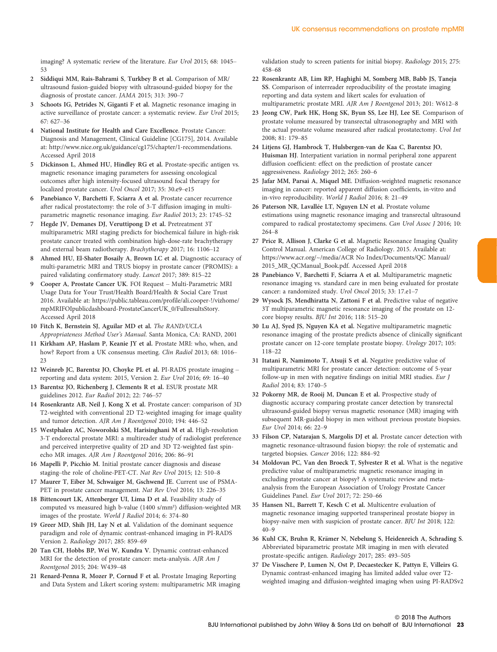imaging? A systematic review of the literature. Eur Urol 2015; 68: 1045– 53

- 2 Siddiqui MM, Rais-Bahrami S, Turkbey B et al. Comparison of MR/ ultrasound fusion-guided biopsy with ultrasound-guided biopsy for the diagnosis of prostate cancer. JAMA 2015; 313: 390–7
- 3 Schoots IG, Petrides N, Giganti F et al. Magnetic resonance imaging in active surveillance of prostate cancer: a systematic review. Eur Urol 2015; 67: 627–36
- National Institute for Health and Care Excellence. Prostate Cancer: Diagnosis and Management, Clinical Guideline [CG175], 2014. Available at:<http://www.nice.org.uk/guidance/cg175/chapter/1-recommendations>. Accessed April 2018
- 5 Dickinson L, Ahmed HU, Hindley RG et al. Prostate-specific antigen vs. magnetic resonance imaging parameters for assessing oncological outcomes after high intensity-focused ultrasound focal therapy for localized prostate cancer. Urol Oncol 2017; 35: 30.e9–e15
- 6 Panebianco V, Barchetti F, Sciarra A et al. Prostate cancer recurrence after radical prostatectomy: the role of 3-T diffusion imaging in multiparametric magnetic resonance imaging. Eur Radiol 2013; 23: 1745–52
- Hegde JV, Demanes DJ, Veruttipong D et al. Pretreatment 3T multiparametric MRI staging predicts for biochemical failure in high-risk prostate cancer treated with combination high-dose-rate brachytherapy and external beam radiotherapy. Brachytherapy 2017; 16: 1106–12
- 8 Ahmed HU, El-Shater Bosaily A, Brown LC et al. Diagnostic accuracy of multi-parametric MRI and TRUS biopsy in prostate cancer (PROMIS): a paired validating confirmatory study. Lancet 2017; 389: 815–22
- 9 Cooper A, Prostate Cancer UK. FOI Request Multi-Parametric MRI Usage Data for Your Trust/Health Board/Health & Social Care Trust 2016. Available at: [https://public.tableau.com/profile/ali.cooper-!/vizhome/](https://public.tableau.com/profile/ali.cooper-!/vizhome/mpMRIFOIpublicdashboard-ProstateCancerUK_0/FullresultsStory) [mpMRIFOIpublicdashboard-ProstateCancerUK\\_0/FullresultsStory](https://public.tableau.com/profile/ali.cooper-!/vizhome/mpMRIFOIpublicdashboard-ProstateCancerUK_0/FullresultsStory). Accessed April 2018
- 10 Fitch K, Bernstein SJ, Aguilar MD et al. The RAND/UCLA Appropriateness Method User's Manual. Santa Monica, CA: RAND, 2001
- 11 Kirkham AP, Haslam P, Keanie JY et al. Prostate MRI: who, when, and how? Report from a UK consensus meeting. Clin Radiol 2013; 68: 1016– 23
- 12 Weinreb JC, Barentsz JO, Choyke PL et al. PI-RADS prostate imaging reporting and data system: 2015, Version 2. Eur Urol 2016; 69: 16–40
- 13 Barentsz JO, Richenberg J, Clements R et al. ESUR prostate MR guidelines 2012. Eur Radiol 2012; 22: 746–57
- 14 Rosenkrantz AB, Neil J, Kong X et al. Prostate cancer: comparison of 3D T2-weighted with conventional 2D T2-weighted imaging for image quality and tumor detection. AJR Am J Roentgenol 2010; 194: 446–52
- 15 Westphalen AC, Noworolski SM, Harisinghani M et al. High-resolution 3-T endorectal prostate MRI: a multireader study of radiologist preference and perceived interpretive quality of 2D and 3D T2-weighted fast spinecho MR images. AJR Am J Roentgenol 2016; 206: 86–91
- 16 Mapelli P, Picchio M. Initial prostate cancer diagnosis and disease staging–the role of choline-PET-CT. Nat Rev Urol 2015; 12: 510–8
- 17 Maurer T, Eiber M, Schwaiger M, Gschwend JE. Current use of PSMA-PET in prostate cancer management. Nat Rev Urol 2016; 13: 226–35
- 18 Bittencourt LK, Attenberger UI, Lima D et al. Feasibility study of computed vs measured high b-value (1400 s/mm²) diffusion-weighted MR images of the prostate. World J Radiol 2014; 6: 374–80
- 19 Greer MD, Shih JH, Lay N et al. Validation of the dominant sequence paradigm and role of dynamic contrast-enhanced imaging in PI-RADS Version 2. Radiology 2017; 285: 859–69
- 20 Tan CH, Hobbs BP, Wei W, Kundra V. Dynamic contrast-enhanced MRI for the detection of prostate cancer: meta-analysis. AJR Am J Roentgenol 2015; 204: W439–48
- 21 Renard-Penna R, Mozer P, Cornud F et al. Prostate Imaging Reporting and Data System and Likert scoring system: multiparametric MR imaging

validation study to screen patients for initial biopsy. Radiology 2015; 275: 458–68

- 22 Rosenkrantz AB, Lim RP, Haghighi M, Somberg MB, Babb JS, Taneja SS. Comparison of interreader reproducibility of the prostate imaging reporting and data system and likert scales for evaluation of multiparametric prostate MRI. AJR Am J Roentgenol 2013; 201: W612–8
- 23 Jeong CW, Park HK, Hong SK, Byun SS, Lee HJ, Lee SE. Comparison of prostate volume measured by transrectal ultrasonography and MRI with the actual prostate volume measured after radical prostatectomy. Urol Int 2008; 81: 179–85
- 24 Litjens GJ, Hambrock T, Hulsbergen-van de Kaa C, Barentsz JO, Huisman HJ. Interpatient variation in normal peripheral zone apparent diffusion coefficient: effect on the prediction of prostate cancer aggressiveness. Radiology 2012; 265: 260–6
- 25 Jafar MM, Parsai A, Miquel ME. Diffusion-weighted magnetic resonance imaging in cancer: reported apparent diffusion coefficients, in-vitro and in-vivo reproducibility. World J Radiol 2016; 8: 21–49
- 26 Paterson NR, Lavallée LT, Nguyen LN et al. Prostate volume estimations using magnetic resonance imaging and transrectal ultrasound compared to radical prostatectomy specimens. Can Urol Assoc J 2016; 10: 264–8
- 27 Price R, Allison J, Clarke G et al. Magnetic Resonance Imaging Quality Control Manual. American College of Radiology. 2015. Available at: [https://www.acr.org/~/media/ACR No Index/Documents/QC Manual/](https://www.acr.org/~/media/ACR No Index/Documents/QC Manual/2015_MR_QCManual_Book.pdf) [2015\\_MR\\_QCManual\\_Book.pdf](https://www.acr.org/~/media/ACR No Index/Documents/QC Manual/2015_MR_QCManual_Book.pdf). Accessed April 2018
- 28 Panebianco V, Barchetti F, Sciarra A et al. Multiparametric magnetic resonance imaging vs. standard care in men being evaluated for prostate cancer: a randomized study. Urol Oncol 2015; 33: 17.e1–7
- 29 Wysock JS, Mendhiratta N, Zattoni F et al. Predictive value of negative 3T multiparametric magnetic resonance imaging of the prostate on 12 core biopsy results. BJU Int 2016; 118: 515–20
- 30 Lu AJ, Syed JS, Nguyen KA et al. Negative multiparametric magnetic resonance imaging of the prostate predicts absence of clinically significant prostate cancer on 12-core template prostate biopsy. Urology 2017; 105: 118–22
- 31 Itatani R, Namimoto T, Atsuji S et al. Negative predictive value of multiparametric MRI for prostate cancer detection: outcome of 5-year follow-up in men with negative findings on initial MRI studies. Eur J Radiol 2014; 83: 1740–5
- 32 Pokorny MR, de Rooij M, Duncan E et al. Prospective study of diagnostic accuracy comparing prostate cancer detection by transrectal ultrasound-guided biopsy versus magnetic resonance (MR) imaging with subsequent MR-guided biopsy in men without previous prostate biopsies. Eur Urol 2014; 66: 22–9
- 33 Filson CP, Natarajan S, Margolis DJ et al. Prostate cancer detection with magnetic resonance-ultrasound fusion biopsy: the role of systematic and targeted biopsies. Cancer 2016; 122: 884–92
- 34 Moldovan PC, Van den Broeck T, Sylvester R et al. What is the negative predictive value of multiparametric magnetic resonance imaging in excluding prostate cancer at biopsy? A systematic review and metaanalysis from the European Association of Urology Prostate Cancer Guidelines Panel. Eur Urol 2017; 72: 250–66
- 35 Hansen NL, Barrett T, Kesch C et al. Multicentre evaluation of magnetic resonance imaging supported transperineal prostate biopsy in biopsy-naïve men with suspicion of prostate cancer. BJU Int 2018; 122: 40–9
- 36 Kuhl CK, Bruhn R, Krämer N, Nebelung S, Heidenreich A, Schrading S. Abbreviated biparametric prostate MR imaging in men with elevated prostate-specific antigen. Radiology 2017; 285: 493–505
- 37 De Visschere P, Lumen N, Ost P, Decaestecker K, Pattyn E, Villeirs G. Dynamic contrast-enhanced imaging has limited added value over T2 weighted imaging and diffusion-weighted imaging when using PI-RADSv2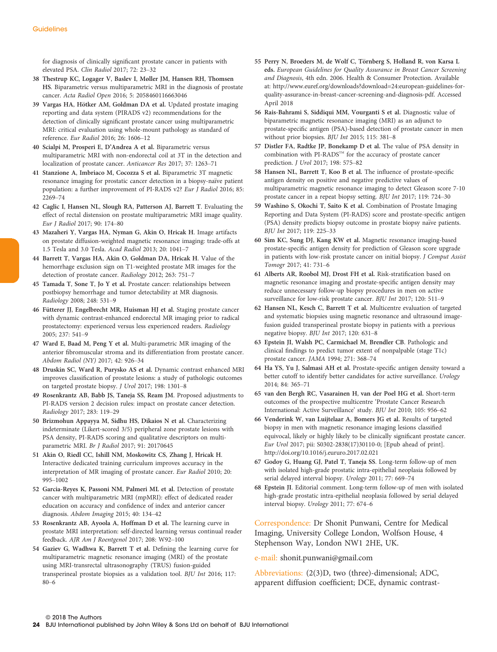for diagnosis of clinically significant prostate cancer in patients with elevated PSA. Clin Radiol 2017; 72: 23–32

- 38 Thestrup KC, Logager V, Baslev I, Møller JM, Hansen RH, Thomsen HS. Biparametric versus multiparametric MRI in the diagnosis of prostate cancer. Acta Radiol Open 2016; 5: 2058460116663046
- 39 Vargas HA, Hötker AM, Goldman DA et al. Updated prostate imaging reporting and data system (PIRADS v2) recommendations for the detection of clinically significant prostate cancer using multiparametric MRI: critical evaluation using whole-mount pathology as standard of reference. Eur Radiol 2016; 26: 1606–12
- 40 Scialpi M, Prosperi E, D'Andrea A et al. Biparametric versus multiparametric MRI with non-endorectal coil at 3T in the detection and localization of prostate cancer. Anticancer Res 2017; 37: 1263–71
- 41 Stanzione A, Imbriaco M, Cocozza S et al. Biparametric 3T magnetic resonance imaging for prostatic cancer detection in a biopsy-naïve patient population: a further improvement of PI-RADS v2? Eur J Radiol 2016; 85: 2269–74
- 42 Caglic I, Hansen NL, Slough RA, Patterson AJ, Barrett T. Evaluating the effect of rectal distension on prostate multiparametric MRI image quality. Eur J Radiol 2017; 90: 174–80
- 43 Mazaheri Y, Vargas HA, Nyman G, Akin O, Hricak H. Image artifacts on prostate diffusion-weighted magnetic resonance imaging: trade-offs at 1.5 Tesla and 3.0 Tesla. Acad Radiol 2013; 20: 1041–7
- 44 Barrett T, Vargas HA, Akin O, Goldman DA, Hricak H. Value of the hemorrhage exclusion sign on T1-weighted prostate MR images for the detection of prostate cancer. Radiology 2012; 263: 751–7
- 45 Tamada T, Sone T, Jo Y et al. Prostate cancer: relationships between postbiopsy hemorrhage and tumor detectability at MR diagnosis. Radiology 2008; 248: 531–9
- 46 Fütterer JJ, Engelbrecht MR, Huisman HJ et al. Staging prostate cancer with dynamic contrast-enhanced endorectal MR imaging prior to radical prostatectomy: experienced versus less experienced readers. Radiology 2005; 237: 541–9
- 47 Ward E, Baad M, Peng Y et al. Multi-parametric MR imaging of the anterior fibromuscular stroma and its differentiation from prostate cancer. Abdom Radiol (NY) 2017; 42: 926–34
- 48 Druskin SC, Ward R, Purysko AS et al. Dynamic contrast enhanced MRI improves classification of prostate lesions: a study of pathologic outcomes on targeted prostate biopsy. J Urol 2017; 198: 1301–8
- 49 Rosenkrantz AB, Babb JS, Taneja SS, Ream JM. Proposed adjustments to PI-RADS version 2 decision rules: impact on prostate cancer detection. Radiology 2017; 283: 119–29
- 50 Brizmohun Appayya M, Sidhu HS, Dikaios N et al. Characterizing indeterminate (Likert-scored 3/5) peripheral zone prostate lesions with PSA density, PI-RADS scoring and qualitative descriptors on multiparametric MRI. Br J Radiol 2017; 91: 20170645
- 51 Akin O, Riedl CC, Ishill NM, Moskowitz CS, Zhang J, Hricak H. Interactive dedicated training curriculum improves accuracy in the interpretation of MR imaging of prostate cancer. Eur Radiol 2010; 20: 995–1002
- 52 Garcia-Reyes K, Passoni NM, Palmeri ML et al. Detection of prostate cancer with multiparametric MRI (mpMRI): effect of dedicated reader education on accuracy and confidence of index and anterior cancer diagnosis. Abdom Imaging 2015; 40: 134–42
- 53 Rosenkrantz AB, Ayoola A, Hoffman D et al. The learning curve in prostate MRI interpretation: self-directed learning versus continual reader feedback. AJR Am J Roentgenol 2017; 208: W92–100
- 54 Gaziev G, Wadhwa K, Barrett T et al. Defining the learning curve for multiparametric magnetic resonance imaging (MRI) of the prostate using MRI-transrectal ultrasonography (TRUS) fusion-guided transperineal prostate biopsies as a validation tool. BJU Int 2016; 117: 80–6
- 55 Perry N, Broeders M, de Wolf C, Törnberg S, Holland R, von Karsa L eds. European Guidelines for Quality Assurance in Breast Cancer Screening and Diagnosis, 4th edn. 2006. Health & Consumer Protection. Available at: [http://www.euref.org/downloads?download=24:european-guidelines-for](http://www.euref.org/downloads?download=24:european-guidelines-for-quality-assurance-in-breast-cancer-screening-and-diagnosis-pdf)[quality-assurance-in-breast-cancer-screening-and-diagnosis-pdf.](http://www.euref.org/downloads?download=24:european-guidelines-for-quality-assurance-in-breast-cancer-screening-and-diagnosis-pdf) Accessed April 2018
- 56 Rais-Bahrami S, Siddiqui MM, Vourganti S et al. Diagnostic value of biparametric magnetic resonance imaging (MRI) as an adjunct to prostate-specific antigen (PSA)-based detection of prostate cancer in men without prior biopsies. BJU Int 2015; 115: 381–8
- 57 Distler FA, Radtke JP, Bonekamp D et al. The value of PSA density in combination with PI-RADS<sup>TM</sup> for the accuracy of prostate cancer prediction. J Urol 2017; 198: 575–82
- 58 Hansen NL, Barrett T, Koo B et al. The influence of prostate-specific antigen density on positive and negative predictive values of multiparametric magnetic resonance imaging to detect Gleason score 7-10 prostate cancer in a repeat biopsy setting. BJU Int 2017; 119: 724–30
- 59 Washino S, Okochi T, Saito K et al. Combination of Prostate Imaging Reporting and Data System (PI-RADS) score and prostate-specific antigen (PSA) density predicts biopsy outcome in prostate biopsy naïve patients. BJU Int 2017; 119: 225–33
- 60 Sim KC, Sung DJ, Kang KW et al. Magnetic resonance imaging-based prostate-specific antigen density for prediction of Gleason score upgrade in patients with low-risk prostate cancer on initial biopsy. J Comput Assist Tomogr 2017; 41: 731–6
- 61 Alberts AR, Roobol MJ, Drost FH et al. Risk-stratification based on magnetic resonance imaging and prostate-specific antigen density may reduce unnecessary follow-up biopsy procedures in men on active surveillance for low-risk prostate cancer. BJU Int 2017; 120: 511–9
- 62 Hansen NL, Kesch C, Barrett T et al. Multicentre evaluation of targeted and systematic biopsies using magnetic resonance and ultrasound imagefusion guided transperineal prostate biopsy in patients with a previous negative biopsy. BJU Int 2017; 120: 631–8
- 63 Epstein JI, Walsh PC, Carmichael M, Brendler CB. Pathologic and clinical findings to predict tumor extent of nonpalpable (stage T1c) prostate cancer. JAMA 1994; 271: 368–74
- 64 Ha YS, Yu J, Salmasi AH et al. Prostate-specific antigen density toward a better cutoff to identify better candidates for active surveillance. Urology 2014; 84: 365–71
- 65 van den Bergh RC, Vasarainen H, van der Poel HG et al. Short-term outcomes of the prospective multicentre 'Prostate Cancer Research International: Active Surveillance' study. BJU Int 2010; 105: 956–62
- 66 Venderink W, van Luijtelaar A, Bomers JG et al. Results of targeted biopsy in men with magnetic resonance imaging lesions classified equivocal, likely or highly likely to be clinically significant prostate cancer. Eur Urol 2017; pii: S0302-2838(17)30110-0; [Epub ahead of print]. <http://doi.org/10.1016/j.eururo.2017.02.021>
- 67 Godoy G, Huang GJ, Patel T, Taneja SS. Long-term follow-up of men with isolated high-grade prostatic intra-epithelial neoplasia followed by serial delayed interval biopsy. Urology 2011; 77: 669–74
- 68 Epstein JI. Editorial comment. Long-term follow-up of men with isolated high-grade prostatic intra-epithelial neoplasia followed by serial delayed interval biopsy. Urology 2011; 77: 674–6

Correspondence: Dr Shonit Punwani, Centre for Medical Imaging, University College London, Wolfson House, 4 Stephenson Way, London NW1 2HE, UK.

e-mail: shonit.punwani@gmail.com

Abbreviations: (2(3)D, two (three)-dimensional; ADC, apparent diffusion coefficient; DCE, dynamic contrast